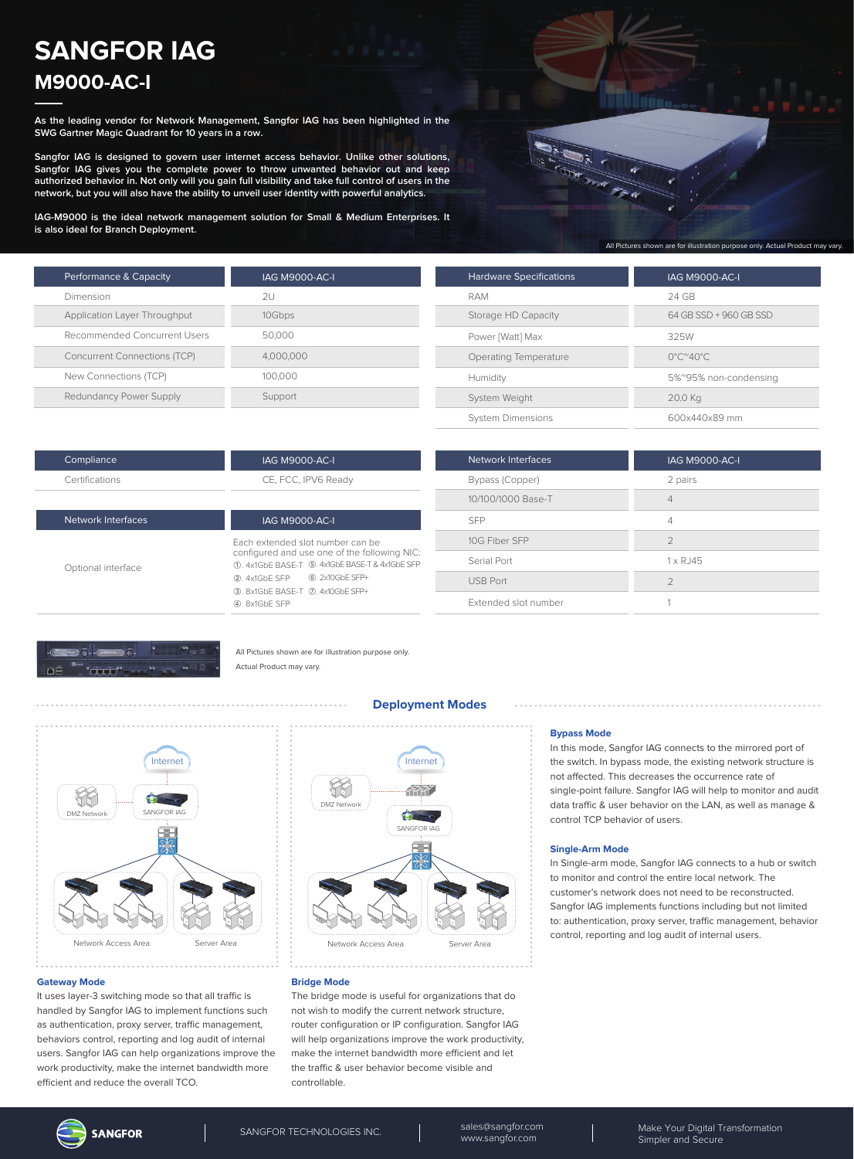# **SANGFOR IAG M9000-AC-I**

**As the leading vendor for Network Management, Sangfor IAG has been highlighted in the SWG Gartner Magic Quadrant for 10 years in a row.**

**Sangfor IAG is designed to govern user internet access behavior. Unlike other solutions, Sangfor IAG gives you the complete power to throw unwanted behavior out and keep authorized behavior in. Not only will you gain full visibility and take full control of users in the network, but you will also have the ability to unveil user identity with powerful analytics.**

**IAG-M9000 is the ideal network management solution for Small & Medium Enterprises. It is also ideal for Branch Deployment.**

| Performance & Capacity              | <b>IAG M9000-AC-I</b> |
|-------------------------------------|-----------------------|
| Dimension                           | 2U                    |
| Application Layer Throughput        | 10Gbps                |
| Recommended Concurrent Users        | 50,000                |
| <b>Concurrent Connections (TCP)</b> | 4.000.000             |
| New Connections (TCP)               | 100,000               |
| Redundancy Power Supply             | Support               |



| <b>Hardware Specifications</b> | <b>IAG M9000-AC-I</b>                   |
|--------------------------------|-----------------------------------------|
| RAM                            | 24 GB                                   |
| Storage HD Capacity            | 64 GB SSD + 960 GB SSD                  |
| Power [Watt] Max               | 325W                                    |
| Operating Temperature          | $0^{\circ}$ C $^{\sim}$ 40 $^{\circ}$ C |
| Humidity                       | 5%~95% non-condensing                   |
| System Weight                  | 20.0 Kg                                 |
| <b>System Dimensions</b>       | 600x440x89 mm                           |

| Compliance     | <b>IAG M9000-AC-I</b> |
|----------------|-----------------------|
| Certifications | CE, FCC, IPV6 Ready   |
|                |                       |

Optional interface

Network Interfaces

| <b>IAG M9000-AC-I</b>              |                                                                                  |
|------------------------------------|----------------------------------------------------------------------------------|
|                                    | Fach extended slot number can be<br>configured and use one of the following NIC: |
|                                    | 11. 4x1GbF BASF-T (5), 4x1GbE BASE-T & 4x1GbE SFP                                |
| 2 4x1GbF SFP 6.2x10GbE SFP+        |                                                                                  |
| 3. 8x1GbE BASE-T (7). 4x10GbE SFP+ |                                                                                  |
| 4). 8x1GbF SFP                     |                                                                                  |

| Network Interfaces   | <b>IAG M9000-AC-I</b> |
|----------------------|-----------------------|
| Bypass (Copper)      | 2 pairs               |
| 10/100/1000 Base-T   | 4                     |
| <b>SFP</b>           | 4                     |
| 10G Fiber SFP        | $\mathcal{P}$         |
| Serial Port          | $1 \times R$ . 145    |
| <b>USB Port</b>      | $\mathcal{P}$         |
| Extended slot number |                       |



All Pictures shown are for illustration purpose only. Actual Product may vary.



**Deployment Modes**

## Internet Y 444<br>1111 DMZ Network **The Street** SANGFOR IA Network Access Area Server Area

#### **Bridge Mode**

The bridge mode is useful for organizations that do not wish to modify the current network structure, router configuration or IP configuration. Sangfor IAG will help organizations improve the work productivity, make the internet bandwidth more efficient and let the traffic & user behavior become visible and controllable.

#### **Bypass Mode**

In this mode, Sangfor IAG connects to the mirrored port of the switch. In bypass mode, the existing network structure is not affected. This decreases the occurrence rate of single-point failure. Sangfor IAG will help to monitor and audit data traffic & user behavior on the LAN, as well as manage & control TCP behavior of users.

#### **Single-Arm Mode**

In Single-arm mode, Sangfor IAG connects to a hub or switch to monitor and control the entire local network. The customer's network does not need to be reconstructed. Sangfor IAG implements functions including but not limited to: authentication, proxy server, traffic management, behavior control, reporting and log audit of internal users.

## **Gateway Mode**

It uses layer-3 switching mode so that all traffic is handled by Sangfor IAG to implement functions such as authentication, proxy server, traffic management, behaviors control, reporting and log audit of internal users. Sangfor IAG can help organizations improve the work productivity, make the internet bandwidth more efficient and reduce the overall TCO.

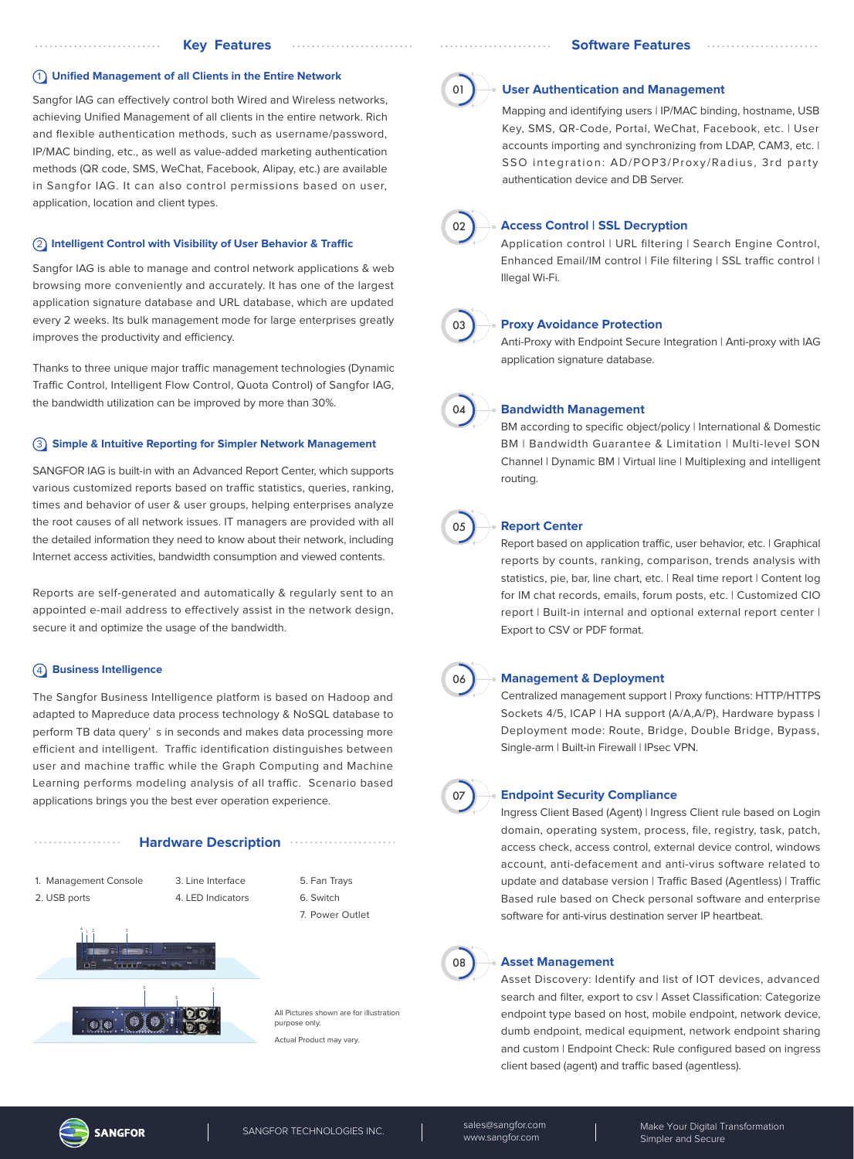#### 1 **Unified Management of all Clients in the Entire Network**

Sangfor IAG can effectively control both Wired and Wireless networks, achieving Unified Management of all clients in the entire network. Rich and flexible authentication methods, such as username/password, IP/MAC binding, etc., as well as value-added marketing authentication methods (QR code, SMS, WeChat, Facebook, Alipay, etc.) are available in Sangfor IAG. It can also control permissions based on user, application, location and client types.

## **(2) Intelligent Control with Visibility of User Behavior & Traffic**

Sangfor IAG is able to manage and control network applications & web browsing more conveniently and accurately. It has one of the largest application signature database and URL database, which are updated every 2 weeks. Its bulk management mode for large enterprises greatly improves the productivity and efficiency.

Thanks to three unique major traffic management technologies (Dynamic Traffic Control, Intelligent Flow Control, Quota Control) of Sangfor IAG, the bandwidth utilization can be improved by more than 30%.

#### 3 **Simple & Intuitive Reporting for Simpler Network Management**

SANGFOR IAG is built-in with an Advanced Report Center, which supports various customized reports based on traffic statistics, queries, ranking, times and behavior of user & user groups, helping enterprises analyze the root causes of all network issues. IT managers are provided with all the detailed information they need to know about their network, including Internet access activities, bandwidth consumption and viewed contents.

Reports are self-generated and automatically & regularly sent to an appointed e-mail address to effectively assist in the network design, secure it and optimize the usage of the bandwidth.

## 4 **Business Intelligence**

The Sangfor Business Intelligence platform is based on Hadoop and adapted to Mapreduce data process technology & NoSQL database to perform TB data query' s in seconds and makes data processing more efficient and intelligent. Traffic identification distinguishes between user and machine traffic while the Graph Computing and Machine Learning performs modeling analysis of all traffic. Scenario based applications brings you the best ever operation experience.

#### **Hardware Description**

1. Management Console 2. USB ports

3. Line Interface 4. LED Indicators 5. Fan Trays 6. Switch 7. Power Outlet

. . . . . . . . . . . . . . . . .



All Pictures shown are for illustration purpose only. Actual Product may vary.

01

#### **User Authentication and Management**

Mapping and identifying users | IP/MAC binding, hostname, USB Key, SMS, QR-Code, Portal, WeChat, Facebook, etc. | User accounts importing and synchronizing from LDAP, CAM3, etc. | SSO integration: AD/POP3/Proxy/Radius, 3rd party authentication device and DB Server.



## **Access Control | SSL Decryption**

Application control | URL filtering | Search Engine Control, Enhanced Email/IM control | File filtering | SSL traffic control | Illegal Wi-Fi.



## **Proxy Avoidance Protection**

Anti-Proxy with Endpoint Secure Integration | Anti-proxy with IAG application signature database.



#### **Bandwidth Management**

BM according to specific object/policy | International & Domestic BM | Bandwidth Guarantee & Limitation | Multi-level SON Channel | Dynamic BM | Virtual line | Multiplexing and intelligent routing.



#### **Report Center**

Report based on application traffic, user behavior, etc. | Graphical reports by counts, ranking, comparison, trends analysis with statistics, pie, bar, line chart, etc. | Real time report | Content log for IM chat records, emails, forum posts, etc. | Customized CIO report | Built-in internal and optional external report center | Export to CSV or PDF format.



#### **Management & Deployment**

Centralized management support | Proxy functions: HTTP/HTTPS Sockets 4/5, ICAP | HA support (A/A,A/P), Hardware bypass | Deployment mode: Route, Bridge, Double Bridge, Bypass, Single-arm | Built-in Firewall | IPsec VPN.



#### **Endpoint Security Compliance**

Ingress Client Based (Agent) | Ingress Client rule based on Login domain, operating system, process, file, registry, task, patch, access check, access control, external device control, windows account, anti-defacement and anti-virus software related to update and database version | Traffic Based (Agentless) | Traffic Based rule based on Check personal software and enterprise software for anti-virus destination server IP heartbeat.



#### **Asset Management**

Asset Discovery: Identify and list of IOT devices, advanced search and filter, export to csv | Asset Classification: Categorize endpoint type based on host, mobile endpoint, network device, dumb endpoint, medical equipment, network endpoint sharing and custom | Endpoint Check: Rule configured based on ingress client based (agent) and traffic based (agentless).

**SANGFOR** 

SANGFOR TECHNOLOGIES INC. Sales@sangfor.com www.sangfor.com